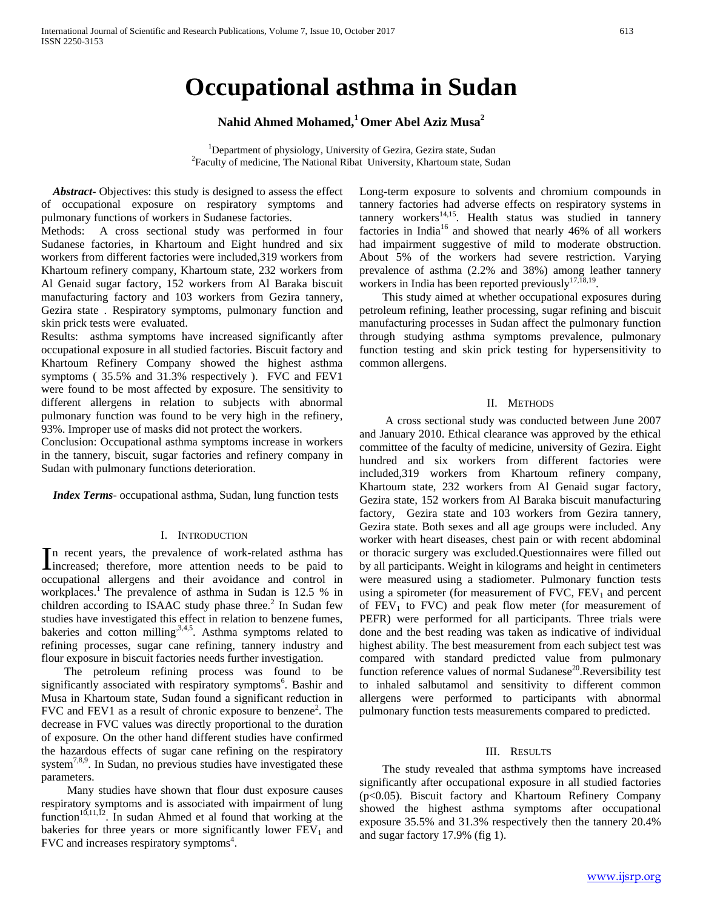# **Occupational asthma in Sudan**

# **Nahid Ahmed Mohamed,1 Omer Abel Aziz Musa2**

<sup>1</sup>Department of physiology, University of Gezira, Gezira state, Sudan <sup>2</sup>Eoculty of medicine. The National Pibet, University, Khartoum state, Su  ${}^{2}$ Faculty of medicine, The National Ribat University, Khartoum state, Sudan

 *Abstract***-** Objectives: this study is designed to assess the effect of occupational exposure on respiratory symptoms and pulmonary functions of workers in Sudanese factories.

Methods: A cross sectional study was performed in four Sudanese factories, in Khartoum and Eight hundred and six workers from different factories were included,319 workers from Khartoum refinery company, Khartoum state, 232 workers from Al Genaid sugar factory, 152 workers from Al Baraka biscuit manufacturing factory and 103 workers from Gezira tannery, Gezira state . Respiratory symptoms, pulmonary function and skin prick tests were evaluated.

Results: asthma symptoms have increased significantly after occupational exposure in all studied factories. Biscuit factory and Khartoum Refinery Company showed the highest asthma symptoms ( 35.5% and 31.3% respectively ). FVC and FEV1 were found to be most affected by exposure. The sensitivity to different allergens in relation to subjects with abnormal pulmonary function was found to be very high in the refinery, 93%. Improper use of masks did not protect the workers.

Conclusion: Occupational asthma symptoms increase in workers in the tannery, biscuit, sugar factories and refinery company in Sudan with pulmonary functions deterioration.

 *Index Terms*- occupational asthma, Sudan, lung function tests

## I. INTRODUCTION

n recent years, the prevalence of work-related asthma has In recent years, the prevalence of work-related asthma has increased; therefore, more attention needs to be paid to occupational allergens and their avoidance and control in workplaces.1 The prevalence of asthma in Sudan is 12.5 % in children according to ISAAC study phase three.<sup>2</sup> In Sudan few studies have investigated this effect in relation to benzene fumes, bakeries and cotton milling,  $3,4,5$ . Asthma symptoms related to refining processes, sugar cane refining, tannery industry and flour exposure in biscuit factories needs further investigation.

 The petroleum refining process was found to be significantly associated with respiratory symptoms<sup>6</sup>. Bashir and Musa in Khartoum state, Sudan found a significant reduction in FVC and FEV1 as a result of chronic exposure to benzene<sup>2</sup>. The decrease in FVC values was directly proportional to the duration of exposure. On the other hand different studies have confirmed the hazardous effects of sugar cane refining on the respiratory system $7,8,9$ . In Sudan, no previous studies have investigated these parameters.

 Many studies have shown that flour dust exposure causes respiratory symptoms and is associated with impairment of lung function<sup>10,11,12</sup>. In sudan Ahmed et al found that working at the bakeries for three years or more significantly lower  $FEV<sub>1</sub>$  and FVC and increases respiratory symptoms<sup>4</sup>.

Long-term exposure to solvents and chromium compounds in tannery factories had adverse effects on respiratory systems in tannery workers<sup>14,15</sup>. Health status was studied in tannery factories in India<sup>16</sup> and showed that nearly 46% of all workers had impairment suggestive of mild to moderate obstruction. About 5% of the workers had severe restriction. Varying prevalence of asthma (2.2% and 38%) among leather tannery workers in India has been reported previously<sup>17, $\bar{18,19}$ </sup>.

 This study aimed at whether occupational exposures during petroleum refining, leather processing, sugar refining and biscuit manufacturing processes in Sudan affect the pulmonary function through studying asthma symptoms prevalence, pulmonary function testing and skin prick testing for hypersensitivity to common allergens.

#### II. METHODS

 A cross sectional study was conducted between June 2007 and January 2010. Ethical clearance was approved by the ethical committee of the faculty of medicine, university of Gezira. Eight hundred and six workers from different factories were included,319 workers from Khartoum refinery company, Khartoum state, 232 workers from Al Genaid sugar factory, Gezira state, 152 workers from Al Baraka biscuit manufacturing factory, Gezira state and 103 workers from Gezira tannery, Gezira state. Both sexes and all age groups were included. Any worker with heart diseases, chest pain or with recent abdominal or thoracic surgery was excluded.Questionnaires were filled out by all participants. Weight in kilograms and height in centimeters were measured using a stadiometer. Pulmonary function tests using a spirometer (for measurement of FVC,  $FEV<sub>1</sub>$  and percent of  $FEV<sub>1</sub>$  to  $FVC$ ) and peak flow meter (for measurement of PEFR) were performed for all participants. Three trials were done and the best reading was taken as indicative of individual highest ability. The best measurement from each subject test was compared with standard predicted value from pulmonary function reference values of normal Sudanese<sup>20</sup>.Reversibility test to inhaled salbutamol and sensitivity to different common allergens were performed to participants with abnormal pulmonary function tests measurements compared to predicted.

## III. RESULTS

 The study revealed that asthma symptoms have increased significantly after occupational exposure in all studied factories (p<0.05). Biscuit factory and Khartoum Refinery Company showed the highest asthma symptoms after occupational exposure 35.5% and 31.3% respectively then the tannery 20.4% and sugar factory 17.9% (fig 1).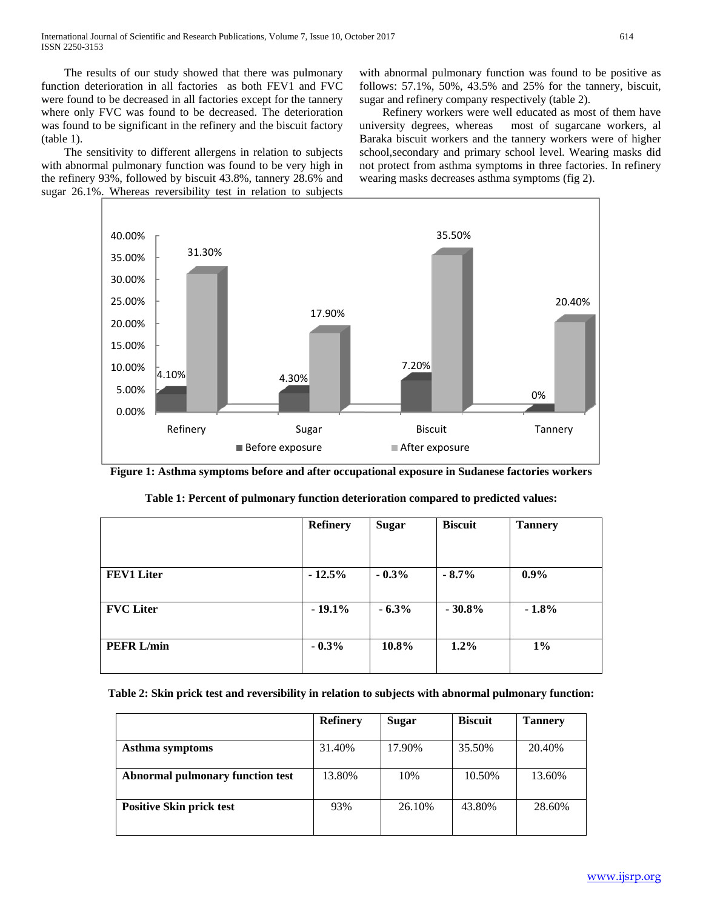The results of our study showed that there was pulmonary function deterioration in all factories as both FEV1 and FVC were found to be decreased in all factories except for the tannery where only FVC was found to be decreased. The deterioration was found to be significant in the refinery and the biscuit factory (table 1).

 The sensitivity to different allergens in relation to subjects with abnormal pulmonary function was found to be very high in the refinery 93%, followed by biscuit 43.8%, tannery 28.6% and sugar 26.1%. Whereas reversibility test in relation to subjects with abnormal pulmonary function was found to be positive as follows: 57.1%, 50%, 43.5% and 25% for the tannery, biscuit, sugar and refinery company respectively (table 2).

Refinery workers were well educated as most of them have university degrees, whereas most of sugarcane workers, all most of sugarcane workers, al Baraka biscuit workers and the tannery workers were of higher school,secondary and primary school level. Wearing masks did not protect from asthma symptoms in three factories. In refinery wearing masks decreases asthma symptoms (fig 2).



**Figure 1: Asthma symptoms before and after occupational exposure in Sudanese factories workers**

|                   | <b>Refinery</b> | <b>Sugar</b> | <b>Biscuit</b> | <b>Tannery</b> |
|-------------------|-----------------|--------------|----------------|----------------|
|                   |                 |              |                |                |
| <b>FEV1 Liter</b> | $-12.5%$        | $-0.3%$      | $-8.7\%$       | $0.9\%$        |
| <b>FVC</b> Liter  | $-19.1%$        | $-6.3%$      | $-30.8%$       | $-1.8%$        |
| <b>PEFR L/min</b> | $-0.3%$         | 10.8%        | $1.2\%$        | $1\%$          |

**Table 2: Skin prick test and reversibility in relation to subjects with abnormal pulmonary function:**

|                                  | <b>Refinery</b> | <b>Sugar</b> | <b>Biscuit</b> | <b>Tannery</b> |
|----------------------------------|-----------------|--------------|----------------|----------------|
| Asthma symptoms                  | 31.40%          | 17.90%       | 35.50%         | 20.40%         |
| Abnormal pulmonary function test | 13.80%          | 10%          | 10.50%         | 13.60%         |
| <b>Positive Skin prick test</b>  | 93%             | 26.10%       | 43.80%         | 28.60%         |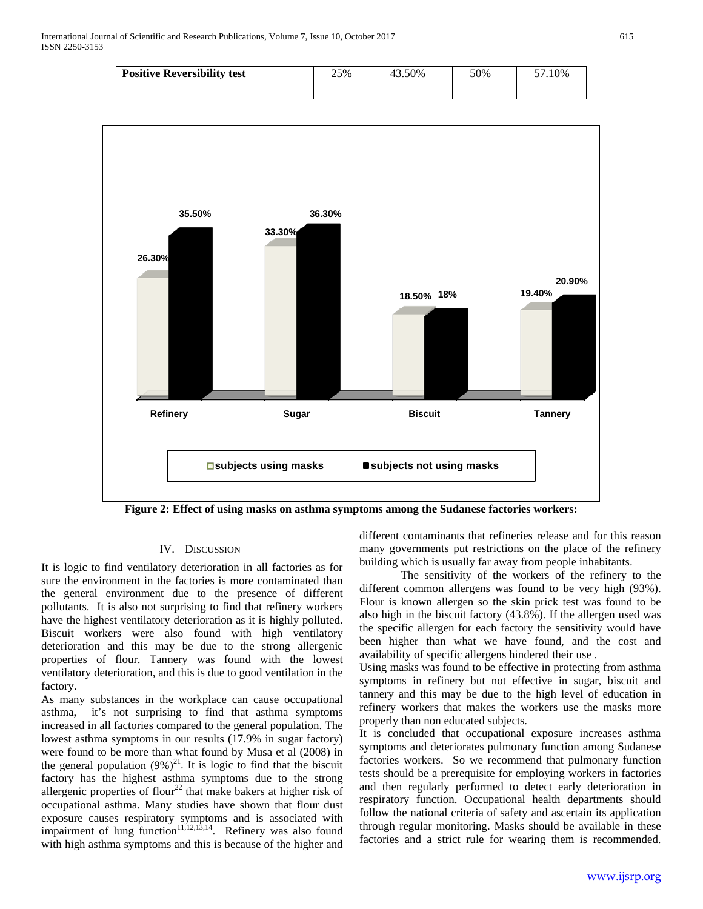| 50% | .10% |
|-----|------|
|     |      |
|     |      |



**Figure 2: Effect of using masks on asthma symptoms among the Sudanese factories workers:**

# IV. DISCUSSION

It is logic to find ventilatory deterioration in all factories as for sure the environment in the factories is more contaminated than the general environment due to the presence of different pollutants. It is also not surprising to find that refinery workers have the highest ventilatory deterioration as it is highly polluted. Biscuit workers were also found with high ventilatory deterioration and this may be due to the strong allergenic properties of flour. Tannery was found with the lowest ventilatory deterioration, and this is due to good ventilation in the factory.

As many substances in the workplace can cause occupational asthma, it's not surprising to find that asthma symptoms increased in all factories compared to the general population. The lowest asthma symptoms in our results (17.9% in sugar factory) were found to be more than what found by Musa et al (2008) in the general population  $(9\%)^{21}$ . It is logic to find that the biscuit factory has the highest asthma symptoms due to the strong allergenic properties of flour<sup>22</sup> that make bakers at higher risk of occupational asthma. Many studies have shown that flour dust exposure causes respiratory symptoms and is associated with impairment of lung function<sup>11,12,13,14</sup>. Refinery was also found with high asthma symptoms and this is because of the higher and

different contaminants that refineries release and for this reason many governments put restrictions on the place of the refinery building which is usually far away from people inhabitants.

The sensitivity of the workers of the refinery to the different common allergens was found to be very high (93%). Flour is known allergen so the skin prick test was found to be also high in the biscuit factory (43.8%). If the allergen used was the specific allergen for each factory the sensitivity would have been higher than what we have found, and the cost and availability of specific allergens hindered their use .

Using masks was found to be effective in protecting from asthma symptoms in refinery but not effective in sugar, biscuit and tannery and this may be due to the high level of education in refinery workers that makes the workers use the masks more properly than non educated subjects.

It is concluded that occupational exposure increases asthma symptoms and deteriorates pulmonary function among Sudanese factories workers. So we recommend that pulmonary function tests should be a prerequisite for employing workers in factories and then regularly performed to detect early deterioration in respiratory function. Occupational health departments should follow the national criteria of safety and ascertain its application through regular monitoring. Masks should be available in these factories and a strict rule for wearing them is recommended.